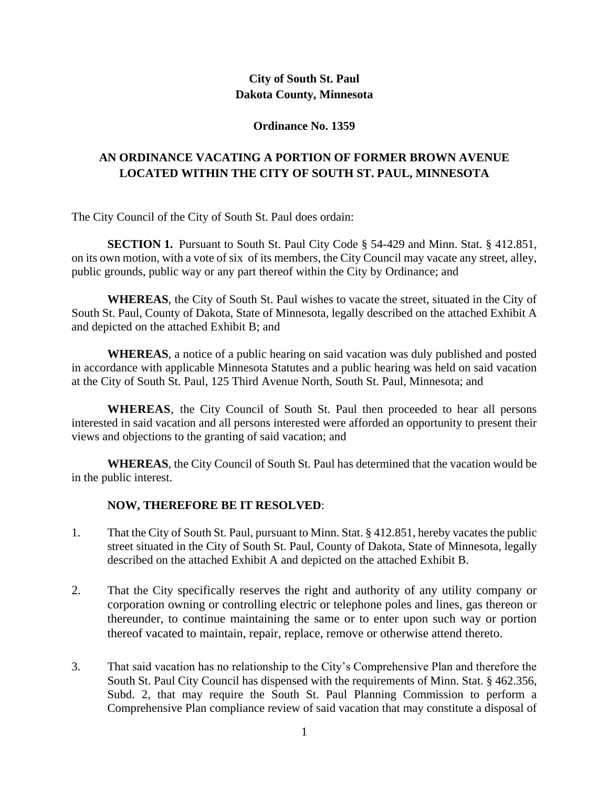# **City of South St. Paul Dakota County, Minnesota**

#### **Ordinance No. 1359**

# **AN ORDINANCE VACATING A PORTION OF FORMER BROWN AVENUE LOCATED WITHIN THE CITY OF SOUTH ST. PAUL, MINNESOTA**

The City Council of the City of South St. Paul does ordain:

**SECTION 1.** Pursuant to South St. Paul City Code § 54-429 and Minn. Stat. § 412.851, on its own motion, with a vote of six of its members, the City Council may vacate any street, alley, public grounds, public way or any part thereof within the City by Ordinance; and

**WHEREAS**, the City of South St. Paul wishes to vacate the street, situated in the City of South St. Paul, County of Dakota, State of Minnesota, legally described on the attached Exhibit A and depicted on the attached Exhibit B; and

**WHEREAS**, a notice of a public hearing on said vacation was duly published and posted in accordance with applicable Minnesota Statutes and a public hearing was held on said vacation at the City of South St. Paul, 125 Third Avenue North, South St. Paul, Minnesota; and

**WHEREAS**, the City Council of South St. Paul then proceeded to hear all persons interested in said vacation and all persons interested were afforded an opportunity to present their views and objections to the granting of said vacation; and

**WHEREAS**, the City Council of South St. Paul has determined that the vacation would be in the public interest.

## **NOW, THEREFORE BE IT RESOLVED**:

- 1. That the City of South St. Paul, pursuant to Minn. Stat. § 412.851, hereby vacates the public street situated in the City of South St. Paul, County of Dakota, State of Minnesota, legally described on the attached Exhibit A and depicted on the attached Exhibit B.
- 2. That the City specifically reserves the right and authority of any utility company or corporation owning or controlling electric or telephone poles and lines, gas thereon or thereunder, to continue maintaining the same or to enter upon such way or portion thereof vacated to maintain, repair, replace, remove or otherwise attend thereto.
- 3. That said vacation has no relationship to the City's Comprehensive Plan and therefore the South St. Paul City Council has dispensed with the requirements of Minn. Stat. § 462.356, Subd. 2, that may require the South St. Paul Planning Commission to perform a Comprehensive Plan compliance review of said vacation that may constitute a disposal of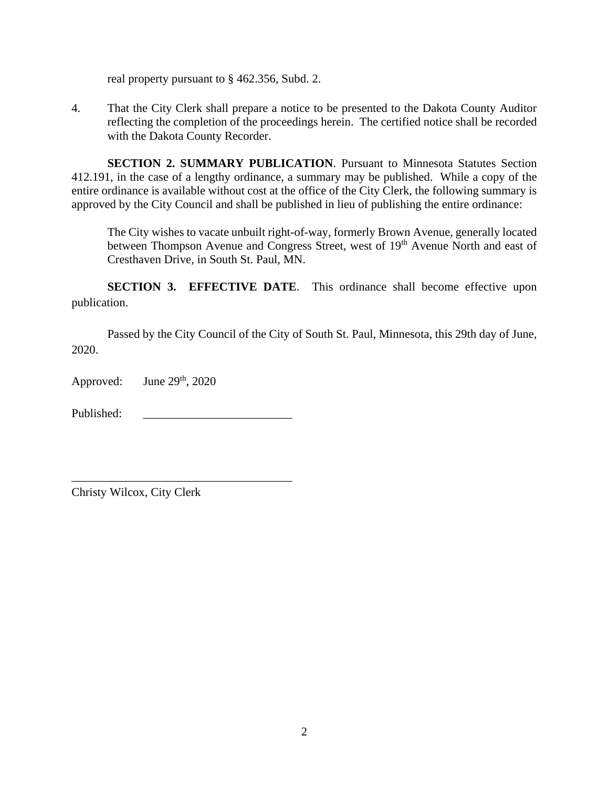real property pursuant to § 462.356, Subd. 2.

4. That the City Clerk shall prepare a notice to be presented to the Dakota County Auditor reflecting the completion of the proceedings herein. The certified notice shall be recorded with the Dakota County Recorder.

**SECTION 2. SUMMARY PUBLICATION**. Pursuant to Minnesota Statutes Section 412.191, in the case of a lengthy ordinance, a summary may be published. While a copy of the entire ordinance is available without cost at the office of the City Clerk, the following summary is approved by the City Council and shall be published in lieu of publishing the entire ordinance:

The City wishes to vacate unbuilt right-of-way, formerly Brown Avenue, generally located between Thompson Avenue and Congress Street, west of 19<sup>th</sup> Avenue North and east of Cresthaven Drive, in South St. Paul, MN.

**SECTION 3. EFFECTIVE DATE.** This ordinance shall become effective upon publication.

Passed by the City Council of the City of South St. Paul, Minnesota, this 29th day of June, 2020.

Approved: June  $29<sup>th</sup>$ ,  $2020$ 

Published:

\_\_\_\_\_\_\_\_\_\_\_\_\_\_\_\_\_\_\_\_\_\_\_\_\_\_\_\_\_\_\_\_\_\_\_\_\_

Christy Wilcox, City Clerk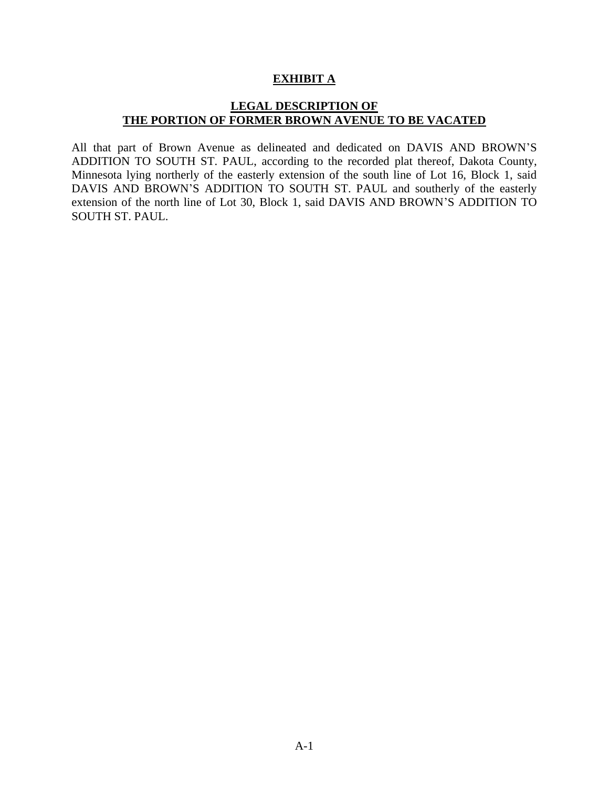#### **EXHIBIT A**

### **LEGAL DESCRIPTION OF THE PORTION OF FORMER BROWN AVENUE TO BE VACATED**

All that part of Brown Avenue as delineated and dedicated on DAVIS AND BROWN'S ADDITION TO SOUTH ST. PAUL, according to the recorded plat thereof, Dakota County, Minnesota lying northerly of the easterly extension of the south line of Lot 16, Block 1, said DAVIS AND BROWN'S ADDITION TO SOUTH ST. PAUL and southerly of the easterly extension of the north line of Lot 30, Block 1, said DAVIS AND BROWN'S ADDITION TO SOUTH ST. PAUL.